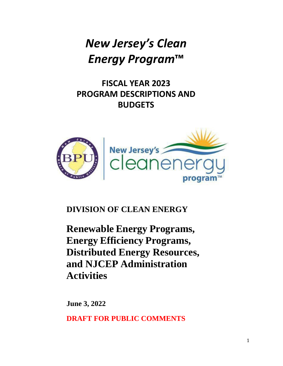# *New Jersey's Clean Energy Program***™**

**FISCAL YEAR 2023 PROGRAM DESCRIPTIONS AND BUDGETS**



**DIVISION OF CLEAN ENERGY**

**Renewable Energy Programs, Energy Efficiency Programs, Distributed Energy Resources, and NJCEP Administration Activities**

**June 3, 2022**

**DRAFT FOR PUBLIC COMMENTS**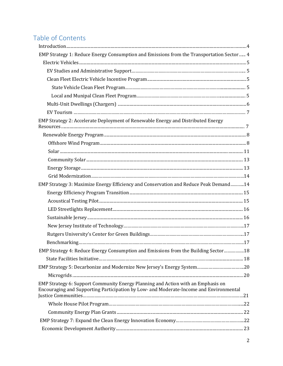# Table of Contents

| EMP Strategy 1: Reduce Energy Consumption and Emissions from the Transportation Sector 4                                                                                   |  |
|----------------------------------------------------------------------------------------------------------------------------------------------------------------------------|--|
|                                                                                                                                                                            |  |
|                                                                                                                                                                            |  |
|                                                                                                                                                                            |  |
|                                                                                                                                                                            |  |
|                                                                                                                                                                            |  |
|                                                                                                                                                                            |  |
|                                                                                                                                                                            |  |
| EMP Strategy 2: Accelerate Deployment of Renewable Energy and Distributed Energy                                                                                           |  |
|                                                                                                                                                                            |  |
|                                                                                                                                                                            |  |
|                                                                                                                                                                            |  |
|                                                                                                                                                                            |  |
|                                                                                                                                                                            |  |
|                                                                                                                                                                            |  |
| EMP Strategy 3: Maximize Energy Efficiency and Conservation and Reduce Peak Demand14                                                                                       |  |
|                                                                                                                                                                            |  |
|                                                                                                                                                                            |  |
|                                                                                                                                                                            |  |
|                                                                                                                                                                            |  |
|                                                                                                                                                                            |  |
|                                                                                                                                                                            |  |
|                                                                                                                                                                            |  |
| EMP Strategy 4: Reduce Energy Consumption and Emissions from the Building Sector18                                                                                         |  |
|                                                                                                                                                                            |  |
| EMP Strategy 5: Decarbonize and Modernize New Jersey's Energy System20                                                                                                     |  |
|                                                                                                                                                                            |  |
| EMP Strategy 6: Support Community Energy Planning and Action with an Emphasis on<br>Encouraging and Supporting Participation by Low- and Moderate-Income and Environmental |  |
|                                                                                                                                                                            |  |
|                                                                                                                                                                            |  |
|                                                                                                                                                                            |  |
|                                                                                                                                                                            |  |
|                                                                                                                                                                            |  |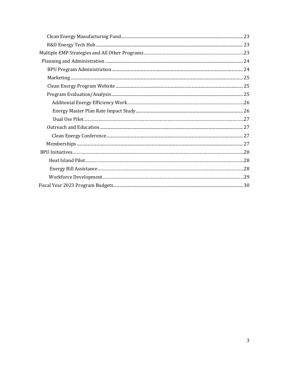<span id="page-2-0"></span>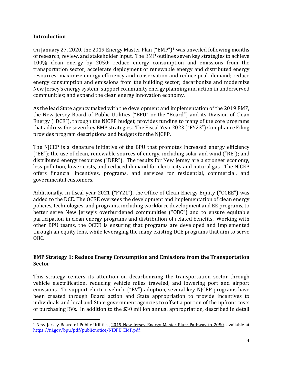#### **Introduction**

On January 27, 2020, the 2019 Energy Master Plan ("EMP")[1](#page-3-0) was unveiled following months of research, review, and stakeholder input. The EMP outlines seven key strategies to achieve 100% clean energy by 2050: reduce energy consumption and emissions from the transportation sector; accelerate deployment of renewable energy and distributed energy resources; maximize energy efficiency and conservation and reduce peak demand; reduce energy consumption and emissions from the building sector; decarbonize and modernize New Jersey's energy system; support community energy planning and action in underserved communities; and expand the clean energy innovation economy.

As the lead State agency tasked with the development and implementation of the 2019 EMP, the New Jersey Board of Public Utilities ("BPU" or the "Board") and its Division of Clean Energy ("DCE"), through the NJCEP budget, provides funding to many of the core programs that address the seven key EMP strategies. The Fiscal Year 2023 ("FY23") Compliance Filing provides program descriptions and budgets for the NJCEP.

The NJCEP is a signature initiative of the BPU that promotes increased energy efficiency ("EE"); the use of clean, renewable sources of energy, including solar and wind ("RE"); and distributed energy resources ("DER"). The results for New Jersey are a stronger economy, less pollution, lower costs, and reduced demand for electricity and natural gas. The NJCEP offers financial incentives, programs, and services for residential, commercial, and governmental customers.

Additionally, in fiscal year 2021 ("FY21"), the Office of Clean Energy Equity ("OCEE") was added to the DCE. The OCEE oversees the development and implementation of clean energy policies, technologies, and programs, including workforce development and EE programs, to better serve New Jersey's overburdened communities ("OBC") and to ensure equitable participation in clean energy programs and distribution of related benefits. Working with other BPU teams, the OCEE is ensuring that programs are developed and implemented through an equity lens, while leveraging the many existing DCE programs that aim to serve OBC.

# **EMP Strategy 1: Reduce Energy Consumption and Emissions from the Transportation Sector**

This strategy centers its attention on decarbonizing the transportation sector through vehicle electrification, reducing vehicle miles traveled, and lowering port and airport emissions. To support electric vehicle ("EV") adoption, several key NJCEP programs have been created through Board action and State appropriation to provide incentives to individuals and local and State government agencies to offset a portion of the upfront costs of purchasing EVs. In addition to the \$30 million annual appropriation, described in detail

<span id="page-3-0"></span><sup>1</sup> New Jersey Board of Public Utilities, 2019 New Jersey Energy Master Plan: Pathway to 2050*,* available at [https://nj.gov/bpu/pdf/publicnotice/NJBPU\\_EMP.pdf](https://nj.gov/bpu/pdf/publicnotice/NJBPU_EMP.pdf)*.*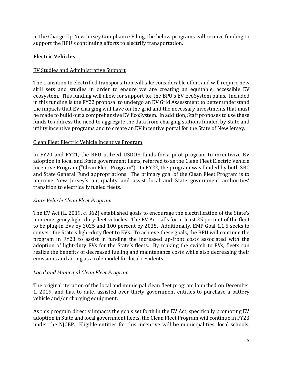in the Charge Up New Jersey Compliance Filing, the below programs will receive funding to support the BPU's continuing efforts to electrify transportation.

# <span id="page-4-0"></span>**Electric Vehicles**

# EV Studies and Administrative Support

The transition to electrified transportation will take considerable effort and will require new skill sets and studies in order to ensure we are creating an equitable, accessible EV ecosystem. This funding will allow for support for the BPU's EV EcoSystem plans. Included in this funding is the FY22 proposal to undergo an EV Grid Assessment to better understand the impacts that EV charging will have on the grid and the necessary investments that must be made to build out a comprehensive EV EcoSystem. In addition, Staff proposes to use these funds to address the need to aggregate the data from charging stations funded by State and utility incentive programs and to create an EV incentive portal for the State of New Jersey.

# <span id="page-4-1"></span>Clean Fleet Electric Vehicle Incentive Program

In FY20 and FY21, the BPU utilized USDOE funds for a pilot program to incentivize EV adoption in local and State government fleets, referred to as the Clean Fleet Electric Vehicle Incentive Program ("Clean Fleet Program"). In FY22, the program was funded by both SBC and State General Fund appropriations. The primary goal of the Clean Fleet Program is to improve New Jersey's air quality and assist local and State government authorities' transition to electrically fueled fleets.

#### *State Vehicle Clean Fleet Program*

The EV Act (L. 2019, c. 362) established goals to encourage the electrification of the State's non-emergency light-duty fleet vehicles. The EV Act calls for at least 25 percent of the fleet to be plug-in EVs by 2025 and 100 percent by 2035. Additionally, EMP Goal 1.1.5 seeks to convert the State's light-duty fleet to EVs. To achieve these goals, the BPU will continue the program in FY23 to assist in funding the increased up-front costs associated with the adoption of light-duty EVs for the State's fleets. By making the switch to EVs, fleets can realize the benefits of decreased fueling and maintenance costs while also decreasing their emissions and acting as a role model for local residents.

# *Local and Municipal Clean Fleet Program*

The original iteration of the local and municipal clean fleet program launched on December 1, 2019, and has, to date, assisted over thirty government entities to purchase a battery vehicle and/or charging equipment.

As this program directly impacts the goals set forth in the EV Act, specifically promoting EV adoption in State and local government fleets, the Clean Fleet Program will continue in FY23 under the NJCEP. Eligible entities for this incentive will be municipalities, local schools,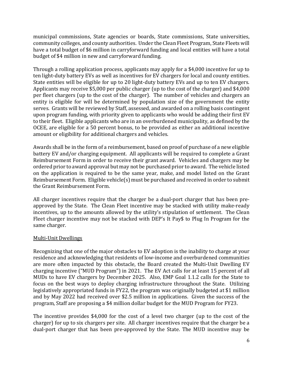municipal commissions, State agencies or boards, State commissions, State universities, community colleges, and county authorities. Under the Clean Fleet Program, State Fleets will have a total budget of \$6 million in carryforward funding and local entities will have a total budget of \$4 million in new and carryforward funding.

Through a rolling application process, applicants may apply for a \$4,000 incentive for up to ten light-duty battery EVs as well as incentives for EV chargers for local and county entities. State entities will be eligible for up to 20 light-duty battery EVs and up to ten EV chargers. Applicants may receive \$5,000 per public charger (up to the cost of the charger) and \$4,000 per fleet chargers (up to the cost of the charger). The number of vehicles and chargers an entity is eligible for will be determined by population size of the government the entity serves. Grants will be reviewed by Staff, assessed, and awarded on a rolling basis contingent upon program funding, with priority given to applicants who would be adding their first EV to their fleet. Eligible applicants who are in an overburdened municipality, as defined by the OCEE, are eligible for a 50 percent bonus, to be provided as either an additional incentive amount or eligibility for additional chargers and vehicles.

Awards shall be in the form of a reimbursement, based on proof of purchase of a new eligible battery EV and/or charging equipment. All applicants will be required to complete a Grant Reimbursement Form in order to receive their grant award. Vehicles and chargers may be ordered prior to award approval but may not be purchased prior to award. The vehicle listed on the application is required to be the same year, make, and model listed on the Grant Reimbursement Form. Eligible vehicle(s) must be purchased and received in order to submit the Grant Reimbursement Form.

All charger incentives require that the charger be a dual-port charger that has been preapproved by the State. The Clean Fleet incentive may be stacked with utility make-ready incentives, up to the amounts allowed by the utility's stipulation of settlement. The Clean Fleet charger incentive may not be stacked with DEP's It Pay\$ to Plug In Program for the same charger.

# Multi-Unit Dwellings

Recognizing that one of the major obstacles to EV adoption is the inability to charge at your residence and acknowledging that residents of low-income and overburdened communities are more often impacted by this obstacle, the Board created the Multi-Unit Dwelling EV charging incentive ("MUD Program") in 2021. The EV Act calls for at least 15 percent of all MUDs to have EV chargers by December 2025. Also, EMP Goal 1.1.2 calls for the State to focus on the best ways to deploy charging infrastructure throughout the State. Utilizing legislatively appropriated funds in FY22, the program was originally budgeted at \$1 million and by May 2022 had received over \$2.5 million in applications. Given the success of the program, Staff are proposing a \$4 million dollar budget for the MUD Program for FY23.

The incentive provides \$4,000 for the cost of a level two charger (up to the cost of the charger) for up to six chargers per site. All charger incentives require that the charger be a dual-port charger that has been pre-approved by the State. The MUD incentive may be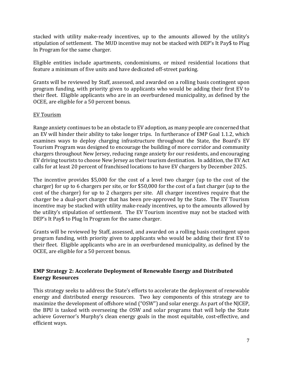stacked with utility make-ready incentives, up to the amounts allowed by the utility's stipulation of settlement. The MUD incentive may not be stacked with DEP's It Pay\$ to Plug In Program for the same charger.

Eligible entities include apartments, condominiums, or mixed residential locations that feature a minimum of five units and have dedicated off-street parking.

Grants will be reviewed by Staff, assessed, and awarded on a rolling basis contingent upon program funding, with priority given to applicants who would be adding their first EV to their fleet. Eligible applicants who are in an overburdened municipality, as defined by the OCEE, are eligible for a 50 percent bonus.

#### EV Tourism

Range anxiety continues to be an obstacle to EV adoption, as many people are concerned that an EV will hinder their ability to take longer trips. In furtherance of EMP Goal 1.1.2, which examines ways to deploy charging infrastructure throughout the State, the Board's EV Tourism Program was designed to encourage the building of more corridor and community chargers throughout New Jersey, reducing range anxiety for our residents, and encouraging EV driving tourists to choose New Jersey as their tourism destination. In addition, the EV Act calls for at least 20 percent of franchised locations to have EV chargers by December 2025.

The incentive provides \$5,000 for the cost of a level two charger (up to the cost of the charger) for up to 6 chargers per site, or for \$50,000 for the cost of a fast charger (up to the cost of the charger) for up to 2 chargers per site. All charger incentives require that the charger be a dual-port charger that has been pre-approved by the State. The EV Tourism incentive may be stacked with utility make-ready incentives, up to the amounts allowed by the utility's stipulation of settlement. The EV Tourism incentive may not be stacked with DEP's It Pay\$ to Plug In Program for the same charger.

Grants will be reviewed by Staff, assessed, and awarded on a rolling basis contingent upon program funding, with priority given to applicants who would be adding their first EV to their fleet. Eligible applicants who are in an overburdened municipality, as defined by the OCEE, are eligible for a 50 percent bonus.

# **EMP Strategy 2: Accelerate Deployment of Renewable Energy and Distributed Energy Resources**

This strategy seeks to address the State's efforts to accelerate the deployment of renewable energy and distributed energy resources. Two key components of this strategy are to maximize the development of offshore wind ("OSW") and solar energy. As part of the NJCEP, the BPU is tasked with overseeing the OSW and solar programs that will help the State achieve Governor's Murphy's clean energy goals in the most equitable, cost-effective, and efficient ways.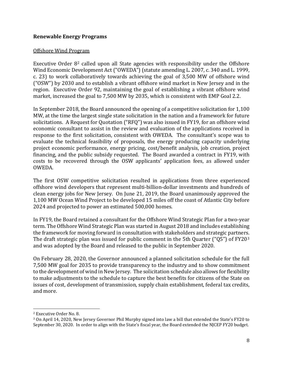#### <span id="page-7-0"></span>**Renewable Energy Programs**

#### <span id="page-7-1"></span>Offshore Wind Program

Executive Order 8[2](#page-7-2) called upon all State agencies with responsibility under the Offshore Wind Economic Development Act ("OWEDA") (statute amending L. 2007, c. 340 and L. 1999, c. 23) to work collaboratively towards achieving the goal of 3,500 MW of offshore wind ("OSW") by 2030 and to establish a vibrant offshore wind market in New Jersey and in the region. Executive Order 92, maintaining the goal of establishing a vibrant offshore wind market, increased the goal to 7,500 MW by 2035, which is consistent with EMP Goal 2.2.

In September 2018, the Board announced the opening of a competitive solicitation for 1,100 MW, at the time the largest single state solicitation in the nation and a framework for future solicitations. A Request for Quotation ("RFQ") was also issued in FY19, for an offshore wind economic consultant to assist in the review and evaluation of the applications received in response to the first solicitation, consistent with OWEDA. The consultant's scope was to evaluate the technical feasibility of proposals, the energy producing capacity underlying project economic performance, energy pricing, cost/benefit analysis, job creation, project financing, and the public subsidy requested. The Board awarded a contract in FY19, with costs to be recovered through the OSW applicants' application fees, as allowed under OWEDA.

The first OSW competitive solicitation resulted in applications from three experienced offshore wind developers that represent multi-billion-dollar investments and hundreds of clean energy jobs for New Jersey. On June 21, 2019, the Board unanimously approved the 1,100 MW Ocean Wind Project to be developed 15 miles off the coast of Atlantic City before 2024 and projected to power an estimated 500,000 homes.

In FY19, the Board retained a consultant for the Offshore Wind Strategic Plan for a two-year term. The Offshore Wind Strategic Plan was started in August 2018 and includes establishing the framework for moving forward in consultation with stakeholders and strategic partners. The draft strategic plan was issued for public comment in the 5th Quarter ("Q5") of FY20<sup>[3](#page-7-3)</sup> and was adopted by the Board and released to the public in September 2020.

On February 28, 2020, the Governor announced a planned solicitation schedule for the full 7,500 MW goal for 2035 to provide transparency to the industry and to show commitment to the development of wind in New Jersey. The solicitation schedule also allows for flexibility to make adjustments to the schedule to capture the best benefits for citizens of the State on issues of cost, development of transmission, supply chain establishment, federal tax credits, and more.

<span id="page-7-2"></span><sup>2</sup> Executive Order No. 8.

<span id="page-7-3"></span><sup>3</sup> On April 14, 2020, New Jersey Governor Phil Murphy signed into law a bill that extended the State's FY20 to September 30, 2020. In order to align with the State's fiscal year, the Board extended the NJCEP FY20 budget.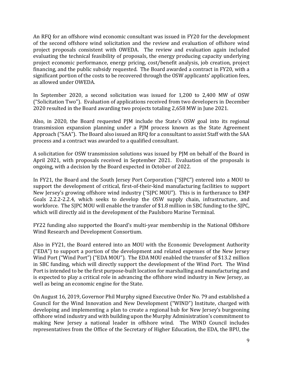An RFQ for an offshore wind economic consultant was issued in FY20 for the development of the second offshore wind solicitation and the review and evaluation of offshore wind project proposals consistent with OWEDA. The review and evaluation again included evaluating the technical feasibility of proposals, the energy producing capacity underlying project economic performance, energy pricing, cost/benefit analysis, job creation, project financing, and the public subsidy requested. The Board awarded a contract in FY20, with a significant portion of the costs to be recovered through the OSW applicants' application fees, as allowed under OWEDA.

In September 2020, a second solicitation was issued for 1,200 to 2,400 MW of OSW ("Solicitation Two"). Evaluation of applications received from two developers in December 2020 resulted in the Board awarding two projects totaling 2,658 MW in June 2021.

Also, in 2020, the Board requested PJM include the State's OSW goal into its regional transmission expansion planning under a PJM process known as the State Agreement Approach ("SAA"). The Board also issued an RFQ for a consultant to assist Staff with the SAA process and a contract was awarded to a qualified consultant.

A solicitation for OSW transmission solutions was issued by PJM on behalf of the Board in April 2021, with proposals received in September 2021. Evaluation of the proposals is ongoing, with a decision by the Board expected in October of 2022.

In FY21, the Board and the South Jersey Port Corporation ("SJPC") entered into a MOU to support the development of critical, first-of-their-kind manufacturing facilities to support New Jersey's growing offshore wind industry ("SJPC MOU"). This is in furtherance to EMP Goals 2.2.2-2.2.4, which seeks to develop the OSW supply chain, infrastructure, and workforce. The SJPC MOU will enable the transfer of \$1.8 million in SBC funding to the SJPC, which will directly aid in the development of the Paulsboro Marine Terminal.

FY22 funding also supported the Board's multi-year membership in the National Offshore Wind Research and Development Consortium.

Also in FY21, the Board entered into an MOU with the Economic Development Authority ("EDA") to support a portion of the development and related expenses of the New Jersey Wind Port ("Wind Port") ("EDA MOU"). The EDA MOU enabled the transfer of \$13.2 million in SBC funding, which will directly support the development of the Wind Port. The Wind Port is intended to be the first purpose-built location for marshalling and manufacturing and is expected to play a critical role in advancing the offshore wind industry in New Jersey, as well as being an economic engine for the State.

On August 16, 2019, Governor Phil Murphy signed Executive Order No. 79 and established a Council for the Wind Innovation and New Development ("WIND") Institute, charged with developing and implementing a plan to create a regional hub for New Jersey's burgeoning offshore wind industry and with building upon the Murphy Administration's commitment to making New Jersey a national leader in offshore wind. The WIND Council includes representatives from the Office of the Secretary of Higher Education, the EDA, the BPU, the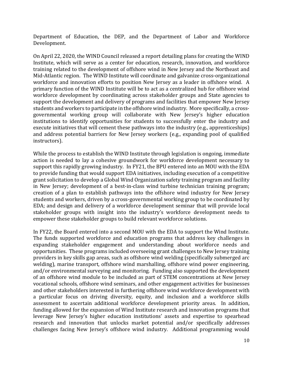Department of Education, the DEP, and the Department of Labor and Workforce Development.

On April 22, 2020, the WIND Council released a report detailing plans for creating the WIND Institute, which will serve as a center for education, research, innovation, and workforce training related to the development of offshore wind in New Jersey and the Northeast and Mid-Atlantic region. The WIND Institute will coordinate and galvanize cross-organizational workforce and innovation efforts to position New Jersey as a leader in offshore wind. A primary function of the WIND Institute will be to act as a centralized hub for offshore wind workforce development by coordinating across stakeholder groups and State agencies to support the development and delivery of programs and facilities that empower New Jersey students and workers to participate in the offshore wind industry. More specifically, a crossgovernmental working group will collaborate with New Jersey's higher education institutions to identify opportunities for students to successfully enter the industry and execute initiatives that will cement these pathways into the industry (e.g., apprenticeships) and address potential barriers for New Jersey workers (e.g., expanding pool of qualified instructors).

While the process to establish the WIND Institute through legislation is ongoing, immediate action is needed to lay a cohesive groundwork for workforce development necessary to support this rapidly growing industry. In FY21, the BPU entered into an MOU with the EDA to provide funding that would support EDA initiatives, including execution of a competitive grant solicitation to develop a Global Wind Organization safety training program and facility in New Jersey; development of a best-in-class wind turbine technician training program; creation of a plan to establish pathways into the offshore wind industry for New Jersey students and workers, driven by a cross-governmental working group to be coordinated by EDA; and design and delivery of a workforce development seminar that will provide local stakeholder groups with insight into the industry's workforce development needs to empower these stakeholder groups to build relevant workforce solutions.

In FY22, the Board entered into a second MOU with the EDA to support the Wind Institute. The funds supported workforce and education programs that address key challenges in expanding stakeholder engagement and understanding about workforce needs and opportunities. These programs included overseeing grant challenges to New Jersey training providers in key skills gap areas, such as offshore wind welding (specifically submerged arc welding), marine transport, offshore wind marshalling, offshore wind power engineering, and/or environmental surveying and monitoring. Funding also supported the development of an offshore wind module to be included as part of STEM concentrations at New Jersey vocational schools, offshore wind seminars, and other engagement activities for businesses and other stakeholders interested in furthering offshore wind workforce development with a particular focus on driving diversity, equity, and inclusion and a workforce skills assessment to ascertain additional workforce development priority areas. In addition, funding allowed for the expansion of Wind Institute research and innovation programs that leverage New Jersey's higher education institutions' assets and expertise to spearhead research and innovation that unlocks market potential and/or specifically addresses challenges facing New Jersey's offshore wind industry. Additional programming would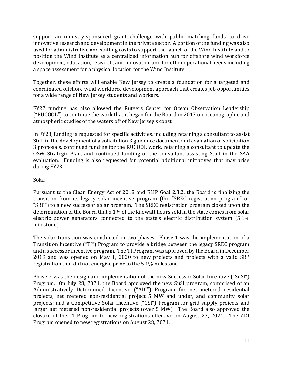support an industry-sponsored grant challenge with public matching funds to drive innovative research and development in the private sector. A portion of the funding was also used for administrative and staffing costs to support the launch of the Wind Institute and to position the Wind Institute as a centralized information hub for offshore wind workforce development, education, research, and innovation and for other operational needs including a space assessment for a physical location for the Wind Institute.

Together, these efforts will enable New Jersey to create a foundation for a targeted and coordinated offshore wind workforce development approach that creates job opportunities for a wide range of New Jersey students and workers.

FY22 funding has also allowed the Rutgers Center for Ocean Observation Leadership ("RUCOOL") to continue the work that it began for the Board in 2017 on oceanographic and atmospheric studies of the waters off of New Jersey's coast.

In FY23, funding is requested for specific activities, including retaining a consultant to assist Staff in the development of a solicitation 3 guidance document and evaluation of solicitation 3 proposals, continued funding for the RUCOOL work, retaining a consultant to update the OSW Strategic Plan, and continued funding of the consultant assisting Staff in the SAA evaluation. Funding is also requested for potential additional initiatives that may arise during FY23.

# <span id="page-10-0"></span>Solar

Pursuant to the Clean Energy Act of 2018 and EMP Goal 2.3.2, the Board is finalizing the transition from its legacy solar incentive program (the "SREC registration program" or "SRP") to a new successor solar program. The SREC registration program closed upon the determination of the Board that 5.1% of the kilowatt hours sold in the state comes from solar electric power generators connected to the state's electric distribution system (5.1% milestone).

The solar transition was conducted in two phases. Phase 1 was the implementation of a Transition Incentive ("TI") Program to provide a bridge between the legacy SREC program and a successor incentive program. The TI Program was approved by the Board in December 2019 and was opened on May 1, 2020 to new projects and projects with a valid SRP registration that did not energize prior to the 5.1% milestone.

Phase 2 was the design and implementation of the new Successor Solar Incentive ("SuSI") Program. On July 28, 2021, the Board approved the new SuSI program, comprised of an Administratively Determined Incentive ("ADI") Program for net metered residential projects, net metered non-residential project 5 MW and under, and community solar projects; and a Competitive Solar Incentive ("CSI") Program for grid supply projects and larger net metered non-residential projects (over 5 MW). The Board also approved the closure of the TI Program to new registrations effective on August 27, 2021. The ADI Program opened to new registrations on August 28, 2021.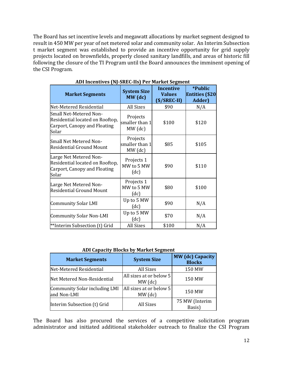The Board has set incentive levels and megawatt allocations by market segment designed to result in 450 MW per year of net metered solar and community solar. An Interim Subsection t market segment was established to provide an incentive opportunity for grid supply projects located on brownfields, properly closed sanitary landfills, and areas of historic fill following the closure of the TI Program until the Board announces the imminent opening of the CSI Program.

| <b>Market Segments</b>                                                                             | <b>System Size</b><br>$MW$ (dc)         | <b>Incentive</b><br><b>Values</b><br>$(\$/SREC-II)$ | <i>*Public</i><br><b>Entities (\$20</b><br>Adder) |
|----------------------------------------------------------------------------------------------------|-----------------------------------------|-----------------------------------------------------|---------------------------------------------------|
| Net-Metered Residential                                                                            | <b>All Sizes</b>                        | \$90                                                | N/A                                               |
| Small Net-Metered Non-<br>Residential located on Rooftop,<br>Carport, Canopy and Floating<br>Solar | Projects<br>smaller than 1<br>$MW$ (dc) | \$100                                               | \$120                                             |
| Small Net Metered Non-<br><b>Residential Ground Mount</b>                                          | Projects<br>smaller than 1<br>$MW$ (dc) | \$85                                                | \$105                                             |
| Large Net Metered Non-<br>Residential located on Rooftop,<br>Carport, Canopy and Floating<br>Solar | Projects 1<br>MW to 5 MW<br>(dc)        | \$90                                                | \$110                                             |
| Large Net Metered Non-<br><b>Residential Ground Mount</b>                                          | Projects 1<br>MW to 5 MW<br>(dc)        | \$80                                                | \$100                                             |
| <b>Community Solar LMI</b>                                                                         | Up to 5 MW<br>(dc)                      | \$90                                                | N/A                                               |
| <b>Community Solar Non-LMI</b>                                                                     | Up to 5 MW<br>(dc)                      | \$70                                                | N/A                                               |
| **Interim Subsection (t) Grid                                                                      | <b>All Sizes</b>                        | \$100                                               | N/A                                               |

#### **ADI Incentives (NJ-SREC-IIs) Per Market Segment**

#### **ADI Capacity Blocks by Market Segment**

| <b>Market Segments</b>                       | <b>System Size</b>                   | <b>MW</b> (dc) Capacity<br><b>Blocks</b> |
|----------------------------------------------|--------------------------------------|------------------------------------------|
| Net-Metered Residential                      | <b>All Sizes</b>                     | 150 MW                                   |
| Net Metered Non-Residential                  | All sizes at or below 5<br>$MW$ (dc) | 150 MW                                   |
| Community Solar including LMI<br>and Non-LMI | All sizes at or below 5<br>$MW$ (dc) | 150 MW                                   |
| Interim Subsection (t) Grid                  | <b>All Sizes</b>                     | 75 MW (Interim<br>Basis)                 |

The Board has also procured the services of a competitive solicitation program administrator and initiated additional stakeholder outreach to finalize the CSI Program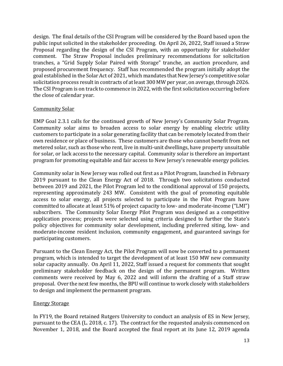design. The final details of the CSI Program will be considered by the Board based upon the public input solicited in the stakeholder proceeding. On April 26, 2022, Staff issued a Straw Proposal regarding the design of the CSI Program, with an opportunity for stakeholder comment. The Straw Proposal includes preliminary recommendations for solicitation tranches, a "Grid Supply Solar Paired with Storage" tranche, an auction procedure, and proposed procurement frequency. Staff has recommended the program initially adopt the goal established in the Solar Act of 2021, which mandates that New Jersey's competitive solar solicitation process result in contracts of at least 300 MW per year, on average, through 2026. The CSI Program is on track to commence in 2022, with the first solicitation occurring before the close of calendar year.

#### <span id="page-12-0"></span>Community Solar

EMP Goal 2.3.1 calls for the continued growth of New Jersey's Community Solar Program. Community solar aims to broaden access to solar energy by enabling electric utility customers to participate in a solar generating facility that can be remotely located from their own residence or place of business. These customers are those who cannot benefit from net metered solar, such as those who rent, live in multi-unit dwellings, have property unsuitable for solar, or lack access to the necessary capital. Community solar is therefore an important program for promoting equitable and fair access to New Jersey's renewable energy policies.

Community solar in New Jersey was rolled out first as a Pilot Program, launched in February 2019 pursuant to the Clean Energy Act of 2018. Through two solicitations conducted between 2019 and 2021, the Pilot Program led to the conditional approval of 150 projects, representing approximately 243 MW. Consistent with the goal of promoting equitable access to solar energy, all projects selected to participate in the Pilot Program have committed to allocate at least 51% of project capacity to low- and moderate-income ("LMI") subscribers. The Community Solar Energy Pilot Program was designed as a competitive application process; projects were selected using criteria designed to further the State's policy objectives for community solar development, including preferred siting, low- and moderate-income resident inclusion, community engagement, and guaranteed savings for participating customers.

Pursuant to the Clean Energy Act, the Pilot Program will now be converted to a permanent program, which is intended to target the development of at least 150 MW new community solar capacity annually. On April 11, 2022, Staff issued a request for comments that sought preliminary stakeholder feedback on the design of the permanent program. Written comments were received by May 6, 2022 and will inform the drafting of a Staff straw proposal. Over the next few months, the BPU will continue to work closely with stakeholders to design and implement the permanent program.

#### <span id="page-12-1"></span>Energy Storage

In FY19, the Board retained Rutgers University to conduct an analysis of ES in New Jersey, pursuant to the CEA (L. 2018, c. 17). The contract for the requested analysis commenced on November 1, 2018, and the Board accepted the final report at its June 12, 2019 agenda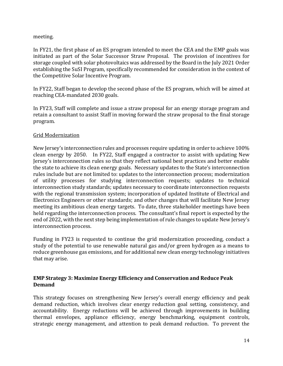#### meeting.

In FY21, the first phase of an ES program intended to meet the CEA and the EMP goals was initiated as part of the Solar Successor Straw Proposal. The provision of incentives for storage coupled with solar photovoltaics was addressed by the Board in the July 2021 Order establishing the SuSI Program, specifically recommended for consideration in the context of the Competitive Solar Incentive Program.

In FY22, Staff began to develop the second phase of the ES program, which will be aimed at reaching CEA-mandated 2030 goals.

In FY23, Staff will complete and issue a straw proposal for an energy storage program and retain a consultant to assist Staff in moving forward the straw proposal to the final storage program.

# Grid Modernization

New Jersey's interconnection rules and processes require updating in order to achieve 100% clean energy by 2050. In FY22, Staff engaged a contractor to assist with updating New Jersey's interconnection rules so that they reflect national best practices and better enable the state to achieve its clean energy goals. Necessary updates to the State's interconnection rules include but are not limited to: updates to the interconnection process; modernization of utility processes for studying interconnection requests; updates to technical interconnection study standards; updates necessary to coordinate interconnection requests with the regional transmission system; incorporation of updated Institute of Electrical and Electronics Engineers or other standards; and other changes that will facilitate New Jersey meeting its ambitious clean energy targets. To date, three stakeholder meetings have been held regarding the interconnection process. The consultant's final report is expected by the end of 2022, with the next step being implementation of rule changes to update New Jersey's interconnection process.

Funding in FY23 is requested to continue the grid modernization proceeding, conduct a study of the potential to use renewable natural gas and/or green hydrogen as a means to reduce greenhouse gas emissions, and for additional new clean energy technology initiatives that may arise.

# **EMP Strategy 3: Maximize Energy Efficiency and Conservation and Reduce Peak Demand**

This strategy focuses on strengthening New Jersey's overall energy efficiency and peak demand reduction, which involves clear energy reduction goal setting, consistency, and accountability. Energy reductions will be achieved through improvements in building thermal envelopes, appliance efficiency, energy benchmarking, equipment controls, strategic energy management, and attention to peak demand reduction. To prevent the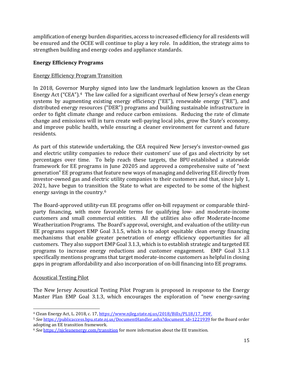amplification of energy burden disparities, access to increased efficiency for all residents will be ensured and the OCEE will continue to play a key role. In addition, the strategy aims to strengthen building and energy codes and appliance standards.

# **Energy Efficiency Programs**

# <span id="page-14-0"></span>Energy Efficiency Program Transition

In 2018, Governor Murphy signed into law the landmark legislation known as the Clean Energy Act ("CEA").[4](#page-14-2) The law called for a significant overhaul of New Jersey's clean energy systems by augmenting existing energy efficiency ("EE"), renewable energy ("RE"), and distributed energy resources ("DER") programs and building sustainable infrastructure in order to fight climate change and reduce carbon emissions. Reducing the rate of climate change and emissions will in turn create well-paying local jobs, grow the State's economy, and improve public health, while ensuring a cleaner environment for current and future residents.

As part of this statewide undertaking, the CEA required New Jersey's investor-owned gas and electric utility companies to reduce t[he](#page-14-3)ir customers' use of gas and electricity by set percentages over time. To help reach these targets, the BPU established a statewide framework for EE programs in June 20205 and [approved](https://www.nj.gov/bpu/newsroom/2020/approved/20200610.html) a comprehensive suite of "next generation" EE programs that feature new ways of managing and delivering EE directly from investor-owned gas and electric utility companies to their customers and that, since July 1, 2021, have begun to transition the State to what are expected to be some of the highest energy savings in the country.[6](#page-14-4)

The Board-approved utility-run EE programs offer on-bill repayment or comparable thirdparty financing, with more favorable terms for qualifying low- and moderate-income customers and small commercial entities. All the utilities also offer Moderate-Income Weatherization Programs. The Board's approval, oversight, and evaluation of the utility-run EE programs support EMP Goal 3.1.5, which is to adopt equitable clean energy financing mechanisms that enable greater penetration of energy efficiency opportunities for all customers. They also support EMP Goal 3.1.3, which is to establish strategic and targeted EE programs to increase energy reductions and customer engagement. EMP Goal 3.1.3 specifically mentions programs that target moderate-income customers as helpful in closing gaps in program affordability and also incorporation of on-bill financing into EE programs.

#### <span id="page-14-1"></span>Acoustical Testing Pilot

The New Jersey Acoustical Testing Pilot Program is proposed in response to the Energy Master Plan EMP Goal 3.1.3, which encourages the exploration of "new energy-saving

<span id="page-14-2"></span><sup>&</sup>lt;sup>4</sup> Clean Energy Act, L. 2018, c. 17, https://www.njleg.state.nj.us/2018/Bills/PL18/17.PDF.

<span id="page-14-3"></span><sup>5</sup> *See* [https://publicaccess.bpu.state.nj.us/DocumentHandler.ashx?document\\_id=1221939](https://publicaccess.bpu.state.nj.us/DocumentHandler.ashx?document_id=1221939) for the Board order adopting an EE transition framework.

<span id="page-14-4"></span><sup>6</sup> *See* <https://njcleanenergy.com/transition> for more information about the EE transition.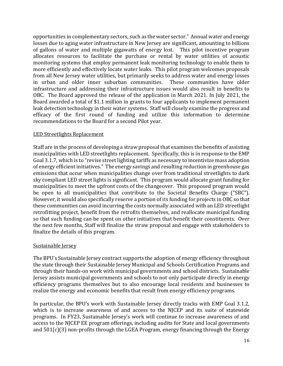opportunities in complementary sectors, such as the water sector." Annual water and energy losses due to aging water infrastructure in New Jersey are significant, amounting to billions of gallons of water and multiple gigawatts of energy lost. This pilot incentive program allocates resources to facilitate the purchase or rental by water utilities of acoustic monitoring systems that employ permanent leak monitoring technology to enable them to more efficiently and effectively locate water leaks. This pilot program welcomes proposals from all New Jersey water utilities, but primarily seeks to address water and energy losses in urban and older inner suburban communities. These communities have older infrastructure and addressing their infrastructure issues would also result in benefits to OBC. The Board approved the release of the application in March 2021. In July 2021, the Board awarded a total of \$1.1 million in grants to four applicants to implement permanent leak detection technology in their water systems. Staff will closely examine the progress and efficacy of the first round of funding and utilize this information to determine recommendations to the Board for a second Pilot year.

# LED Streetlights Replacement

Staff are in the process of developing a straw proposal that examines the benefits of assisting municipalities with LED streetlights replacement. Specifically, this is in response to the EMP Goal 3.1.7, which is to "revise street lighting tariffs as necessary to incentivize mass adoption of energy efficient initiatives." The energy savings and resulting reduction in greenhouse gas emissions that occur when municipalities change over from traditional streetlights to dark sky compliant LED street lights is significant. This program would allocate grant funding for municipalities to meet the upfront costs of the changeover. This proposed program would be open to all municipalities that contribute to the Societal Benefits Charge ("SBC"). However, it would also specifically reserve a portion of its funding for projects in OBC so that these communities can avoid incurring the costs normally associated with an LED streetlight retrofitting project, benefit from the retrofits themselves, and reallocate municipal funding so that such funding can be spent on other initiatives that benefit their constituents. Over the next few months, Staff will finalize the straw proposal and engage with stakeholders to finalize the details of this program.

#### Sustainable Jersey

The BPU's Sustainable Jersey contract supports the adoption of energy efficiency throughout the state through their Sustainable Jersey Municipal and Schools Certification Programs and through their hands-on work with municipal governments and school districts. Sustainable Jersey assists municipal governments and schools to not only participate directly in energy efficiency programs themselves but to also encourage local residents and businesses to realize the energy and economic benefits that result from energy efficiency programs.

In particular, the BPU's work with Sustainable Jersey directly tracks with EMP Goal 3.1.2, which is to increase awareness of and access to the NJCEP and its suite of statewide programs. In FY23, Sustainable Jersey's work will continue to increase awareness of and access to the NJCEP EE program offerings, including audits for State and local governments and 501(c)(3) non-profits through the LGEA Program, energy financing through the Energy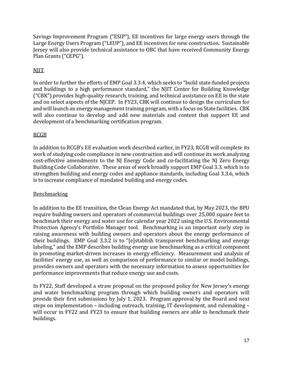Savings Improvement Program ("ESIP"), EE incentives for large energy users through the Large Energy Users Program ("LEUP"), and EE incentives for new construction. Sustainable Jersey will also provide technical assistance to OBC that have received Community Energy Plan Grants ("CEPG").

# **NJIT**

In order to further the efforts of EMP Goal 3.3.4, which seeks to "build state-funded projects and buildings to a high performance standard," the NJIT Center for Building Knowledge ("CBK") provides high-quality research, training, and technical assistance on EE in the state and on select aspects of the NJCEP. In FY23, CBK will continue to design the curriculum for and will launch an energy management training program, with a focus on State facilities. CBK will also continue to develop and add new materials and content that support EE and development of a benchmarking certification program.

# RCGB

In addition to RCGB's EE evaluation work described earlier, in FY23, RCGB will complete its work of studying code compliance in new construction and will continue its work analyzing cost-effective amendments to the NJ Energy Code and co-facilitating the NJ Zero Energy Building Code Collaborative. These areas of work broadly support EMP Goal 3.3, which is to strengthen building and energy codes and appliance standards, including Goal 3.3.6, which is to increase compliance of mandated building and energy codes.

# **Benchmarking**

In addition to the EE transition, the Clean Energy Act mandated that, by May 2023, the BPU require building owners and operators of commercial buildings over 25,000 square feet to benchmark their energy and water use for calendar year 2022 using the U.S. Environmental Protection Agency's Portfolio Manager tool. Benchmarking is an important early step in raising awareness with building owners and operators about the energy performance of their buildings. EMP Goal 3.3.2 is to "[e]stablish transparent benchmarking and energy labeling," and the EMP describes building energy use benchmarking as a critical component in promoting market-driven increases in energy efficiency. Measurement and analysis of facilities' energy use, as well as comparison of performance to similar or model buildings, provides owners and operators with the necessary information to assess opportunities for performance improvements that reduce energy use and costs.

In FY22, Staff developed a straw proposal on the proposed policy for New Jersey's energy and water benchmarking program through which building owners and operators will provide their first submissions by July 1, 2023. Program approval by the Board and next steps on implementation – including outreach, training, IT development, and rulemaking – will occur in FY22 and FY23 to ensure that building owners are able to benchmark their buildings.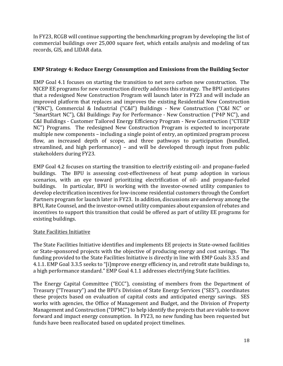In FY23, RCGB will continue supporting the benchmarking program by developing the list of commercial buildings over 25,000 square feet, which entails analysis and modeling of tax records, GIS, and LIDAR data.

# **EMP Strategy 4: Reduce Energy Consumption and Emissions from the Building Sector**

EMP Goal 4.1 focuses on starting the transition to net zero carbon new construction. The NJCEP EE programs for new construction directly address this strategy. The BPU anticipates that a redesigned New Construction Program will launch later in FY23 and will include an improved platform that replaces and improves the existing Residential New Construction ("RNC"), Commercial & Industrial ("C&I") Buildings - New Construction ("C&I NC" or "SmartStart NC"), C&I Buildings: Pay for Performance - New Construction ("P4P NC"), and C&I Buildings - Customer Tailored Energy Efficiency Program - New Construction ("CTEEP NC") Programs. The redesigned New Construction Program is expected to incorporate multiple new components – including a single point of entry, an optimized program process flow, an increased depth of scope, and three pathways to participation (bundled, streamlined, and high performance) – and will be developed through input from public stakeholders during FY23.

EMP Goal 4.2 focuses on starting the transition to electrify existing oil- and propane-fueled buildings. The BPU is assessing cost-effectiveness of heat pump adoption in various scenarios, with an eye toward prioritizing electrification of oil- and propane-fueled<br>buildings. In particular, BPU is working with the investor-owned utility companies to In particular, BPU is working with the investor-owned utility companies to develop electrification incentives for low-income residential customers through the Comfort Partners program for launch later in FY23. In addition, discussions are underway among the BPU, Rate Counsel, and the investor-owned utility companies about expansion of rebates and incentives to support this transition that could be offered as part of utility EE programs for existing buildings.

# State Facilities Initiative

The State Facilities Initiative identifies and implements EE projects in State-owned facilities or State-sponsored projects with the objective of producing energy and cost savings. The funding provided to the State Facilities Initiative is directly in line with EMP Goals 3.3.5 and 4.1.1. EMP Goal 3.3.5 seeks to "[i]mprove energy efficiency in, and retrofit state buildings to, a high performance standard." EMP Goal 4.1.1 addresses electrifying State facilities.

The Energy Capital Committee ("ECC"), consisting of members from the Department of Treasury ("Treasury") and the BPU's Division of State Energy Services ("SES"), coordinates these projects based on evaluation of capital costs and anticipated energy savings. SES works with agencies, the Office of Management and Budget, and the Division of Property Management and Construction ("DPMC") to help identify the projects that are viable to move forward and impact energy consumption. In FY23, no new funding has been requested but funds have been reallocated based on updated project timelines.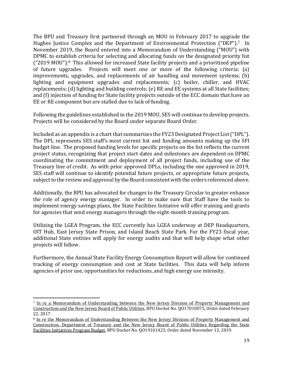The BPU and Treasury first partnered through an MOU in February 2017 to upgrade the Hughes Justice Complex and the Department of Environmental Protection ("DEP").[7](#page-18-0) In November 2019, the Board entered into a Memorandum of Understanding ("MOU") with DPMC to estab[li](#page-18-1)sh criteria for selecting and allocating funds on the designated priority list ("2019 MOU").8 This allowed for increased State facility projects and a prioritized pipeline of future upgrades. Projects will meet one or more of the following criteria: (a) improvements, upgrades, and replacements of air handling and movement systems; (b) lighting and equipment upgrades and replacements; (c) boiler, chiller, and HVAC replacements; (d) lighting and building controls; (e) RE and EE systems at all State facilities; and (f) injection of funding for State facility projects outside of the ECC domain that have an EE or RE component but are stalled due to lack of funding.

Following the guidelines established in the 2019 MOU, SES will continue to develop projects. Projects will be considered by the Board under separate Board Order.

Included as an appendix is a chart that summarizes the FY23 Designated Project List ("DPL"). The DPL represents SES staff's most current list and funding amounts making up the SFI budget line. The proposed funding levels for specific projects on the list reflects the current project status, recognizing that project start dates and milestones are dependent on DPMC coordinating the commitment and deployment of all project funds, including use of the Treasury line of credit. As with prior approved DPLs, including the one approved in 2019, SES staff will continue to identify potential future projects, or appropriate future projects, subject to the review and approval by the Board consistent with the orders referenced above.

Additionally, the BPU has advocated for changes to the Treasury Circular to greater enhance the role of agency energy manager. In order to make sure that Staff have the tools to implement energy savings plans, the State Facilities Initiative will offer training and grants for agencies that send energy managers through the eight-month training program.

Utilizing the LGEA Program, the ECC currently has LGEA underway at DEP Headquarters, OIT Hub, East Jersey State Prison, and Island Beach State Park. For the FY23 fiscal year, additional State entities will apply for energy audits and that will help shape what other projects will follow.

Furthermore, the Annual State Facility Energy Consumption Report will allow for continued tracking of energy consumption and cost at State facilities. This data will help inform agencies of prior use, opportunities for reductions, and high energy use intensity.

<span id="page-18-0"></span><sup>&</sup>lt;sup>7</sup> In re a Memorandum of Understanding between the New Jersey Division of Property Management and Construction and the New Jersey Board of Public Utilities, BPU Docket No. QO17010075, Order dated February 22, 2017.

<span id="page-18-1"></span><sup>8</sup> In re the Memorandum of Understanding Between the New Jersey Division of Property Management and Construction, Department of Treasury and the New Jersey Board of Public Utilities Regarding the State Facilities Initiatives Program Budget, BPU Docket No. QO19101423, Order dated November 13, 2019.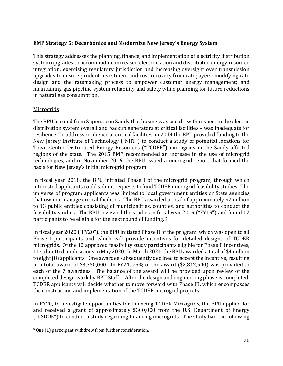# **EMP Strategy 5: Decarbonize and Modernize New Jersey's Energy System**

This strategy addresses the planning, finance, and implementation of electricity distribution system upgrades to accommodate increased electrification and distributed energy resource integration; exercising regulatory jurisdiction and increasing oversight over transmission upgrades to ensure prudent investment and cost recovery from ratepayers; modifying rate design and the ratemaking process to empower customer energy management; and maintaining gas pipeline system reliability and safety while planning for future reductions in natural gas consumption.

# <span id="page-19-0"></span>**Microgrids**

The BPU learned from Superstorm Sandy that business as usual – with respect to the electric distribution system overall and backup generators at critical facilities – was inadequate for resilience. To address resilience at critical facilities, in 2014 the BPU provided funding to the New Jersey Institute of Technology ("NJIT") to conduct a study of potential locations for Town Center Distributed Energy Resources ("TCDER") microgrids in the Sandy-affected regions of the state. The 2015 EMP recommended an increase in the use of microgrid technologies, and in November 2016, the BPU issued a microgrid report that formed the basis for New Jersey's initial microgrid program.

In fiscal year 2018, the BPU initiated Phase I of the microgrid program, through which interested applicants could submit requests to fund TCDER microgrid feasibility studies. The universe of program applicants was limited to local government entities or State agencies that own or manage critical facilities. The BPU awarded a total of approximately \$2 million to 13 public entities consisting of municipalities, coun[ti](#page-19-1)es, and authorities to conduct the feasibility studies. The BPU reviewed the studies in fiscal year 2019 ("FY19") and found 12 participants to be eligible for the next round of funding.9

In fiscal year 2020 ("FY20"), the BPU initiated Phase II of the program, which was open to all Phase I participants and which will provide incentives for detailed designs of TCDER microgrids. Of the 12 approved feasibility study participants eligible for Phase II incentives, 11 submitted applications in May 2020. In March 2021, the BPU awarded a total of \$4 million to eight (8) applicants. One awardee subsequently declined to accept the incentive, resulting in a total award of \$3,750,000. In FY21, 75% of the award (\$2,812,500) was provided to each of the 7 awardees. The balance of the award will be provided upon review of the completed design work by BPU Staff. After the design and engineering phase is completed, TCDER applicants will decide whether to move forward with Phase III, which encompasses the construction and implementation of the TCDER microgrid projects.

In FY20, to investigate opportunities for financing TCDER Microgrids, the BPU applied **f**or and received a grant of approximately \$300,000 from the U.S. Department of Energy ("USDOE") to conduct a study regarding financing microgrids. The study had the following

<span id="page-19-1"></span><sup>9</sup> One (1) participant withdrew from further consideration.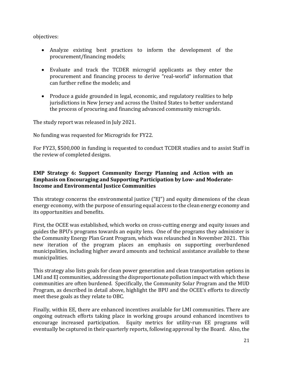objectives:

- Analyze existing best practices to inform the development of the procurement/financing models;
- Evaluate and track the TCDER microgrid applicants as they enter the procurement and financing process to derive "real-world" information that can further refine the models; and
- Produce a guide grounded in legal, economic, and regulatory realities to help jurisdictions in New Jersey and across the United States to better understand the process of procuring and financing advanced community microgrids.

The study report was released in July 2021.

No funding was requested for Microgrids for FY22.

For FY23, \$500,000 in funding is requested to conduct TCDER studies and to assist Staff in the review of completed designs.

#### **EMP Strategy 6: Support Community Energy Planning and Action with an Emphasis on Encouraging and Supporting Participation by Low- and Moderate-Income and Environmental Justice Communities**

This strategy concerns the environmental justice ("EJ") and equity dimensions of the clean energy economy, with the purpose of ensuring equal access to the clean energy economy and its opportunities and benefits.

First, the OCEE was established, which works on cross-cutting energy and equity issues and guides the BPU's programs towards an equity lens. One of the programs they administer is the Community Energy Plan Grant Program, which was relaunched in November 2021. This new iteration of the program places an emphasis on supporting overburdened municipalities, including higher award amounts and technical assistance available to these municipalities.

This strategy also lists goals for clean power generation and clean transportation options in LMI and EJ communities, addressing the disproportionate pollution impact with which these communities are often burdened. Specifically, the Community Solar Program and the MUD Program, as described in detail above, highlight the BPU and the OCEE's efforts to directly meet these goals as they relate to OBC.

Finally, within EE, there are enhanced incentives available for LMI communities. There are ongoing outreach efforts taking place in working groups around enhanced incentives to encourage increased participation. Equity metrics for utility-run EE programs will eventually be captured in their quarterly reports, following approval by the Board. Also, the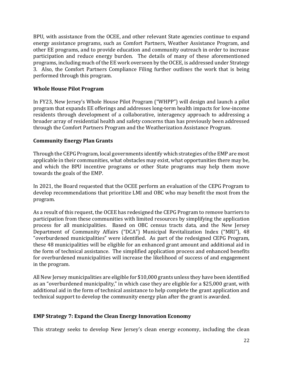BPU, with assistance from the OCEE, and other relevant State agencies continue to expand energy assistance programs, such as Comfort Partners, Weather Assistance Program, and other EE programs, and to provide education and community outreach in order to increase participation and reduce energy burden. The details of many of these aforementioned programs, including much of the EE work overseen by the OCEE, is addressed under Strategy 3. Also, the Comfort Partners Compliance Filing further outlines the work that is being performed through this program.

# **Whole House Pilot Program**

In FY23, New Jersey's Whole House Pilot Program ("WHPP") will design and launch a pilot program that expands EE offerings and addresses long-term health impacts for low-income residents through development of a collaborative, interagency approach to addressing a broader array of residential health and safety concerns than has previously been addressed through the Comfort Partners Program and the Weatherization Assistance Program.

#### <span id="page-21-0"></span>**Community Energy Plan Grants**

Through the CEPG Program, local governments identify which strategies of the EMP are most applicable in their communities, what obstacles may exist, what opportunities there may be, and which the BPU incentive programs or other State programs may help them move towards the goals of the EMP.

In 2021, the Board requested that the OCEE perform an evaluation of the CEPG Program to develop recommendations that prioritize LMI and OBC who may benefit the most from the program.

As a result of this request, the OCEE has redesigned the CEPG Program to remove barriers to participation from these communities with limited resources by simplifying the application process for all municipalities. Based on OBC census tracts data, and the New Jersey Department of Community Affairs ("DCA") Municipal Revitalization Index ("MRI"), 48 "overburdened municipalities" were identified. As part of the redesigned CEPG Program, these 48 municipalities will be eligible for an enhanced grant amount and additional aid in the form of technical assistance. The simplified application process and enhanced benefits for overburdened municipalities will increase the likelihood of success of and engagement in the program.

All New Jersey municipalities are eligible for \$10,000 grants unless they have been identified as an "overburdened municipality," in which case they are eligible for a \$25,000 grant, with additional aid in the form of technical assistance to help complete the grant application and technical support to develop the community energy plan after the grant is awarded.

#### **EMP Strategy 7: Expand the Clean Energy Innovation Economy**

This strategy seeks to develop New Jersey's clean energy economy, including the clean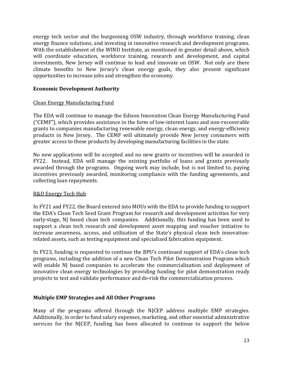energy tech sector and the burgeoning OSW industry, through workforce training, clean energy finance solutions, and investing in innovative research and development programs. With the establishment of the WIND Institute, as mentioned in greater detail above, which will coordinate education, workforce training, research and development, and capital investments, New Jersey will continue to lead and innovate on OSW. Not only are there climate benefits to New Jersey's clean energy goals, they also present significant opportunities to increase jobs and strengthen the economy.

#### <span id="page-22-1"></span>**Economic Development Authority**

# <span id="page-22-0"></span>Clean Energy Manufacturing Fund

The EDA will continue to manage the Edison Innovation Clean Energy Manufacturing Fund ("CEMF"), which provides assistance in the form of low-interest loans and non-recoverable grants to companies manufacturing renewable energy, clean energy, and energy-efficiency products in New Jersey. The CEMF will ultimately provide New Jersey consumers with greater access to these products by developing manufacturing facilities in the state.

No new applications will be accepted and no new grants or incentives will be awarded in FY22. Instead, EDA will manage the existing portfolio of loans and grants previously awarded through the programs. Ongoing work may include, but is not limited to, paying incentives previously awarded, monitoring compliance with the funding agreements, and collecting loan repayments.

#### R&D Energy Tech Hub

In FY21 and FY22, the Board entered into MOUs with the EDA to provide funding to support the EDA's Clean Tech Seed Grant Program for research and development activities for very early-stage, NJ based clean tech companies. Additionally, this funding has been used to support a clean tech research and development asset mapping and voucher initiative to increase awareness, access, and utilization of the State's physical clean tech innovationrelated assets, such as testing equipment and specialized fabrication equipment.

In FY23, funding is requested to continue the BPU's continued support of EDA's clean tech programs, including the addition of a new Clean Tech Pilot Demonstration Program which will enable NJ based companies to accelerate the commercialization and deployment of innovative clean energy technologies by providing funding for pilot demonstration ready projects to test and validate performance and de-risk the commercialization process.

# **Multiple EMP Strategies and All Other Programs**

Many of the programs offered through the NJCEP address multiple EMP strategies. Additionally, in order to fund salary expenses, marketing, and other essential administrative services for the NJCEP, funding has been allocated to continue to support the below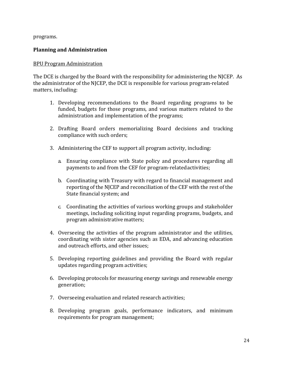programs.

# <span id="page-23-0"></span>**Planning and Administration**

#### <span id="page-23-1"></span>BPU Program Administration

The DCE is charged by the Board with the responsibility for administering the NJCEP. As the administrator of the NJCEP, the DCE is responsible for various program-related matters, including:

- 1. Developing recommendations to the Board regarding programs to be funded, budgets for those programs, and various matters related to the administration and implementation of the programs;
- 2. Drafting Board orders memorializing Board decisions and tracking compliance with such orders;
- 3. Administering the CEF to support all program activity, including:
	- a. Ensuring compliance with State policy and procedures regarding all payments to and from the CEF for program-relatedactivities;
	- b. Coordinating with Treasury with regard to financial management and reporting of the NJCEP and reconciliation of the CEF with the rest of the State financial system; and
	- c. Coordinating the activities of various working groups and stakeholder meetings, including soliciting input regarding programs, budgets, and program administrative matters;
- 4. Overseeing the activities of the program administrator and the utilities, coordinating with sister agencies such as EDA, and advancing education and outreach efforts, and other issues;
- 5. Developing reporting guidelines and providing the Board with regular updates regarding program activities;
- 6. Developing protocols for measuring energy savings and renewable energy generation;
- 7. Overseeing evaluation and related research activities;
- 8. Developing program goals, performance indicators, and minimum requirements for program management;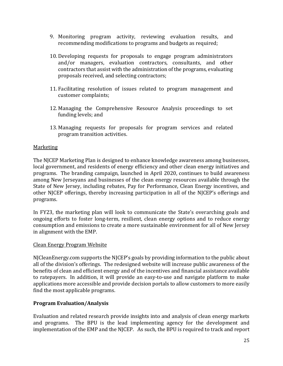- 9. Monitoring program activity, reviewing evaluation results, and recommending modifications to programs and budgets as required;
- 10. Developing requests for proposals to engage program administrators and/or managers, evaluation contractors, consultants, and other contractors that assist with the administration of the programs, evaluating proposals received, and selecting contractors;
- 11. Facilitating resolution of issues related to program management and customer complaints;
- 12. Managing the Comprehensive Resource Analysis proceedings to set funding levels; and
- 13. Managing requests for proposals for program services and related program transition activities.

# <span id="page-24-0"></span>Marketing

The NJCEP Marketing Plan is designed to enhance knowledge awareness among businesses, local government, and residents of energy efficiency and other clean energy initiatives and programs. The branding campaign, launched in April 2020, continues to build awareness among New Jerseyans and businesses of the clean energy resources available through the State of New Jersey, including rebates, Pay for Performance, Clean Energy incentives, and other NJCEP offerings, thereby increasing participation in all of the NJCEP's offerings and programs.

In FY23, the marketing plan will look to communicate the State's overarching goals and ongoing efforts to foster long-term, resilient, clean energy options and to reduce energy consumption and emissions to create a more sustainable environment for all of New Jersey in alignment with the EMP.

#### <span id="page-24-1"></span>Clean Energy Program Website

NJCleanEnergy.com supports the NJCEP's goals by providing information to the public about all of the division's offerings. The redesigned website will increase public awareness of the benefits of clean and efficient energy and of the incentives and financial assistance available to ratepayers. In addition, it will provide an easy-to-use and navigate platform to make applications more accessible and provide decision portals to allow customers to more easily find the most applicable programs.

# **Program Evaluation/Analysis**

Evaluation and related research provide insights into and analysis of clean energy markets and programs. The BPU is the lead implementing agency for the development and implementation of the EMP and the NJCEP. As such, the BPU is required to track and report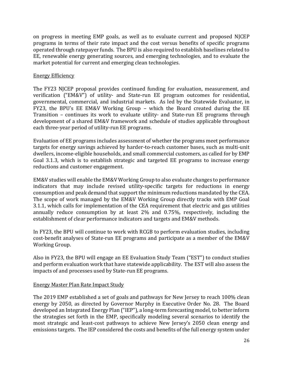on progress in meeting EMP goals, as well as to evaluate current and proposed NJCEP programs in terms of their rate impact and the cost versus benefits of specific programs operated through ratepayer funds. The BPU is also required to establish baselines related to EE, renewable energy generating sources, and emerging technologies, and to evaluate the market potential for current and emerging clean technologies.

# Energy Efficiency

The FY23 NJCEP proposal provides continued funding for evaluation, measurement, and verification ("EM&V") of utility- and State-run EE program outcomes for residential, governmental, commercial, and industrial markets. As led by the Statewide Evaluator, in FY23, the BPU's EE EM&V Working Group – which the Board created during the EE Transition – continues its work to evaluate utility- and State-run EE programs through development of a shared EM&V framework and schedule of studies applicable throughout each three-year period of utility-run EE programs.

Evaluation of EE programs includes assessment of whether the programs meet performance targets for energy savings achieved by harder-to-reach customer bases, such as multi-unit dwellers, income-eligible households, and small commercial customers, as called for by EMP Goal 3.1.3, which is to establish strategic and targeted EE programs to increase energy reductions and customer engagement.

EM&V studies will enable the EM&V Working Group to also evaluate changes to performance indicators that may include revised utility-specific targets for reductions in energy consumption and peak demand that support the minimum reductions mandated by the CEA. The scope of work managed by the EM&V Working Group directly tracks with EMP Goal 3.1.1, which calls for implementation of the CEA requirement that electric and gas utilities annually reduce consumption by at least 2% and 0.75%, respectively, including the establishment of clear performance indicators and targets and EM&V methods.

In FY23, the BPU will continue to work with RCGB to perform evaluation studies, including cost-benefit analyses of State-run EE programs and participate as a member of the EM&V Working Group.

Also in FY23, the BPU will engage an EE Evaluation Study Team ("EST") to conduct studies and perform evaluation work that have statewide applicability. The EST will also assess the impacts of and processes used by State-run EE programs.

#### <span id="page-25-0"></span>Energy Master Plan Rate Impact Study

The 2019 EMP established a set of goals and pathways for New Jersey to reach 100% clean energy by 2050, as directed by Governor Murphy in Executive Order No. 28. The Board developed an Integrated Energy Plan ("IEP"), a long-term forecasting model, to better inform the strategies set forth in the EMP, specifically modeling several scenarios to identify the most strategic and least-cost pathways to achieve New Jersey's 2050 clean energy and emissions targets. The IEP considered the costs and benefits of the full energy system under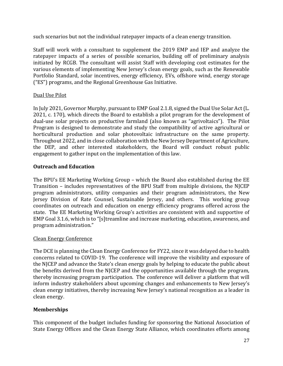such scenarios but not the individual ratepayer impacts of a clean energy transition.

Staff will work with a consultant to supplement the 2019 EMP and IEP and analyze the ratepayer impacts of a series of possible scenarios, building off of preliminary analysis initiated by RCGB. The consultant will assist Staff with developing cost estimates for the various elements of implementing New Jersey's clean energy goals, such as the Renewable Portfolio Standard, solar incentives, energy efficiency, EVs, offshore wind, energy storage ("ES") programs, and the Regional Greenhouse Gas Initiative.

# Dual Use Pilot

In July 2021, Governor Murphy, pursuant to EMP Goal 2.1.8, signed the Dual Use Solar Act (L. 2021, c. 170), which directs the Board to establish a pilot program for the development of dual-use solar projects on productive farmland (also known as "agrivoltaics"). The Pilot Program is designed to demonstrate and study the compatibility of active agricultural or horticultural production and solar photovoltaic infrastructure on the same property. Throughout 2022, and in close collaboration with the New Jersey Department of Agriculture, the DEP, and other interested stakeholders, the Board will conduct robust public engagement to gather input on the implementation of this law.

# <span id="page-26-0"></span>**Outreach and Education**

The BPU's EE Marketing Working Group – which the Board also established during the EE Transition – includes representatives of the BPU Staff from multiple divisions, the NJCEP program administrators, utility companies and their program administrators, the New Jersey Division of Rate Counsel, Sustainable Jersey, and others. This working group coordinates on outreach and education on energy efficiency programs offered across the state. The EE Marketing Working Group's activities are consistent with and supportive of EMP Goal 3.1.6, which is to "[s]treamline and increase marketing, education, awareness, and program administration."

#### <span id="page-26-1"></span>Clean Energy Conference

The DCE is planning the Clean Energy Conference for FY22, since it was delayed due to health concerns related to COVID-19. The conference will improve the visibility and exposure of the NJCEP and advance the State's clean energy goals by helping to educate the public about the benefits derived from the NJCEP and the opportunities available through the program, thereby increasing program participation. The conference will deliver a platform that will inform industry stakeholders about upcoming changes and enhancements to New Jersey's clean energy initiatives, thereby increasing New Jersey's national recognition as a leader in clean energy.

# **Memberships**

This component of the budget includes funding for sponsoring the National Association of State Energy Offices and the Clean Energy State Alliance, which coordinates efforts among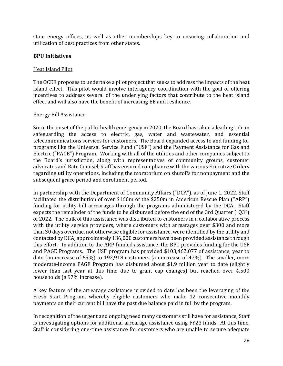state energy offices, as well as other memberships key to ensuring collaboration and utilization of best practices from other states.

#### **BPU Initiatives**

#### Heat Island Pilot

The OCEE proposes to undertake a pilot project that seeks to address the impacts of the heat island effect. This pilot would involve interagency coordination with the goal of offering incentives to address several of the underlying factors that contribute to the heat island effect and will also have the benefit of increasing EE and resilience.

#### Energy Bill Assistance

Since the onset of the public health emergency in 2020, the Board has taken a leading role in safeguarding the access to electric, gas, water and wastewater, and essential telecommunications services for customers. The Board expanded access to and funding for programs like the Universal Service Fund ("USF") and the Payment Assistance for Gas and Electric ("PAGE") Program. Working with all of the utilities and other companies subject to the Board's jurisdiction, along with representatives of community groups, customer advocates and Rate Counsel, Staff has ensured compliance with the various Executive Orders regarding utility operations, including the moratorium on shutoffs for nonpayment and the subsequent grace period and enrollment period.

In partnership with the Department of Community Affairs ("DCA"), as of June 1, 2022, Staff facilitated the distribution of over \$160m of the \$250m in American Rescue Plan ("ARP") funding for utility bill arrearages through the programs administered by the DCA. Staff expects the remainder of the funds to be disbursed before the end of the 3rd Quarter ("Q3") of 2022. The bulk of this assistance was distributed to customers in a collaborative process with the utility service providers, where customers with arrearages over \$300 and more than 30 days overdue, not otherwise eligible for assistance, were identified by the utility and contacted by DCA; approximately 136,000 customers have been provided assistance through this effort. In addition to the ARP-funded assistance, the BPU provides funding for the USF and PAGE Programs. The USF program has provided \$103,462,077 of assistance, year to date (an increase of 65%) to 192,918 customers (an increase of 47%). The smaller, more moderate-income PAGE Program has disbursed about \$1.9 million year to date (slightly lower than last year at this time due to grant cap changes) but reached over 4,500 households (a 97% increase).

A key feature of the arrearage assistance provided to date has been the leveraging of the Fresh Start Program, whereby eligible customers who make 12 consecutive monthly payments on their current bill have the past due balance paid in full by the program.

In recognition of the urgent and ongoing need many customers still have for assistance, Staff is investigating options for additional arrearage assistance using FY23 funds. At this time, Staff is considering one-time assistance for customers who are unable to secure adequate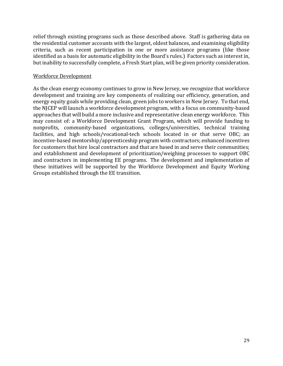relief through existing programs such as those described above. Staff is gathering data on the residential customer accounts with the largest, oldest balances, and examining eligibility criteria, such as recent participation in one or more assistance programs (like those identified as a basis for automatic eligibility in the Board's rules.) Factors such as interest in, but inability to successfully complete, a Fresh Start plan, will be given priority consideration.

#### Workforce Development

As the clean energy economy continues to grow in New Jersey, we recognize that workforce development and training are key components of realizing our efficiency, generation, and energy equity goals while providing clean, green jobs to workers in New Jersey. To that end, the NJCEP will launch a workforce development program, with a focus on community-based approaches that will build a more inclusive and representative clean energy workforce. This may consist of: a Workforce Development Grant Program, which will provide funding to nonprofits, community-based organizations, colleges/universities, technical training facilities, and high schools/vocational-tech schools located in or that serve OBC; an incentive-based mentorship/apprenticeship program with contractors; enhanced incentives for customers that hire local contractors and that are based in and serve their communities; and establishment and development of prioritization/weighing processes to support OBC and contractors in implementing EE programs. The development and implementation of these initiatives will be supported by the Workforce Development and Equity Working Groups established through the EE transition.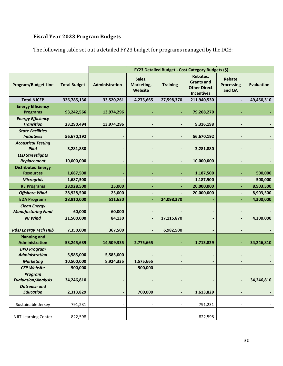# <span id="page-29-0"></span>**Fiscal Year 2023 Program Budgets**

The following table set out a detailed FY23 budget for programs managed by the DCE:

|                                                  |                     | FY23 Detailed Budget - Cost Category Budgets (\$) |                                 |                 |                                                                           |                                              |                   |
|--------------------------------------------------|---------------------|---------------------------------------------------|---------------------------------|-----------------|---------------------------------------------------------------------------|----------------------------------------------|-------------------|
| <b>Program/Budget Line</b>                       | <b>Total Budget</b> | Administration                                    | Sales,<br>Marketing,<br>Website | <b>Training</b> | Rebates,<br><b>Grants and</b><br><b>Other Direct</b><br><b>Incentives</b> | <b>Rebate</b><br><b>Processing</b><br>and QA | <b>Evaluation</b> |
| <b>Total NJCEP</b>                               | 326,785,136         | 33,520,261                                        | 4,275,665                       | 27,598,370      | 211,940,530                                                               |                                              | 49,450,310        |
| <b>Energy Efficiency</b><br><b>Programs</b>      | 93,242,566          | 13,974,296                                        |                                 |                 | 79,268,270                                                                |                                              |                   |
| <b>Energy Efficiency</b><br><b>Transition</b>    | 23,290,494          | 13,974,296                                        |                                 |                 | 9,316,198                                                                 |                                              |                   |
| <b>State Facilities</b><br><b>Initiatives</b>    | 56,670,192          |                                                   |                                 |                 | 56,670,192                                                                |                                              |                   |
| <b>Acoustical Testing</b><br><b>Pilot</b>        | 3,281,880           |                                                   |                                 |                 | 3,281,880                                                                 |                                              |                   |
| <b>LED Streetlights</b><br>Replacement           | 10,000,000          | -                                                 |                                 |                 | 10,000,000                                                                |                                              |                   |
| <b>Distributed Energy</b><br><b>Resources</b>    | 1,687,500           |                                                   |                                 |                 | 1,187,500                                                                 |                                              | 500,000           |
| <b>Microgrids</b>                                | 1,687,500           |                                                   |                                 |                 | 1,187,500                                                                 |                                              | 500,000           |
| <b>RE Programs</b>                               | 28,928,500          | 25,000                                            |                                 |                 | 20,000,000                                                                |                                              | 8,903,500         |
| <b>Offshore Wind</b>                             | 28,928,500          | 25,000                                            |                                 |                 | 20,000,000                                                                |                                              | 8,903,500         |
| <b>EDA Programs</b>                              | 28,910,000          | 511,630                                           |                                 | 24,098,370      |                                                                           |                                              | 4,300,000         |
| <b>Clean Energy</b><br><b>Manufacturing Fund</b> | 60,000              | 60,000                                            |                                 |                 |                                                                           |                                              |                   |
| <b>NJ Wind</b>                                   | 21,500,000          | 84,130                                            |                                 | 17,115,870      |                                                                           |                                              | 4,300,000         |
| <b>R&amp;D Energy Tech Hub</b>                   | 7,350,000           | 367,500                                           |                                 | 6,982,500       |                                                                           |                                              |                   |
| <b>Planning and</b><br>Administration            | 53,245,639          | 14,509,335                                        | 2,775,665                       |                 | 1,713,829                                                                 |                                              | 34,246,810        |
| <b>BPU Program</b><br><b>Administration</b>      | 5,585,000           | 5,585,000                                         |                                 |                 |                                                                           |                                              |                   |
| <b>Marketing</b>                                 | 10,500,000          | 8,924,335                                         | 1,575,665                       |                 |                                                                           |                                              |                   |
| <b>CEP Website</b>                               | 500,000             |                                                   | 500,000                         |                 |                                                                           |                                              |                   |
| Program<br><b>Evaluation/Analysis</b>            | 34,246,810          | $\overline{\phantom{a}}$                          |                                 |                 |                                                                           |                                              | 34,246,810        |
| <b>Outreach and</b><br><b>Education</b>          | 2,313,829           | $\qquad \qquad \blacksquare$                      | 700,000                         |                 | 1,613,829                                                                 |                                              |                   |
| Sustainable Jersey                               | 791,231             | -                                                 | $\overline{\phantom{a}}$        |                 | 791,231                                                                   |                                              |                   |
| <b>NJIT Learning Center</b>                      | 822,598             |                                                   |                                 |                 | 822,598                                                                   |                                              |                   |